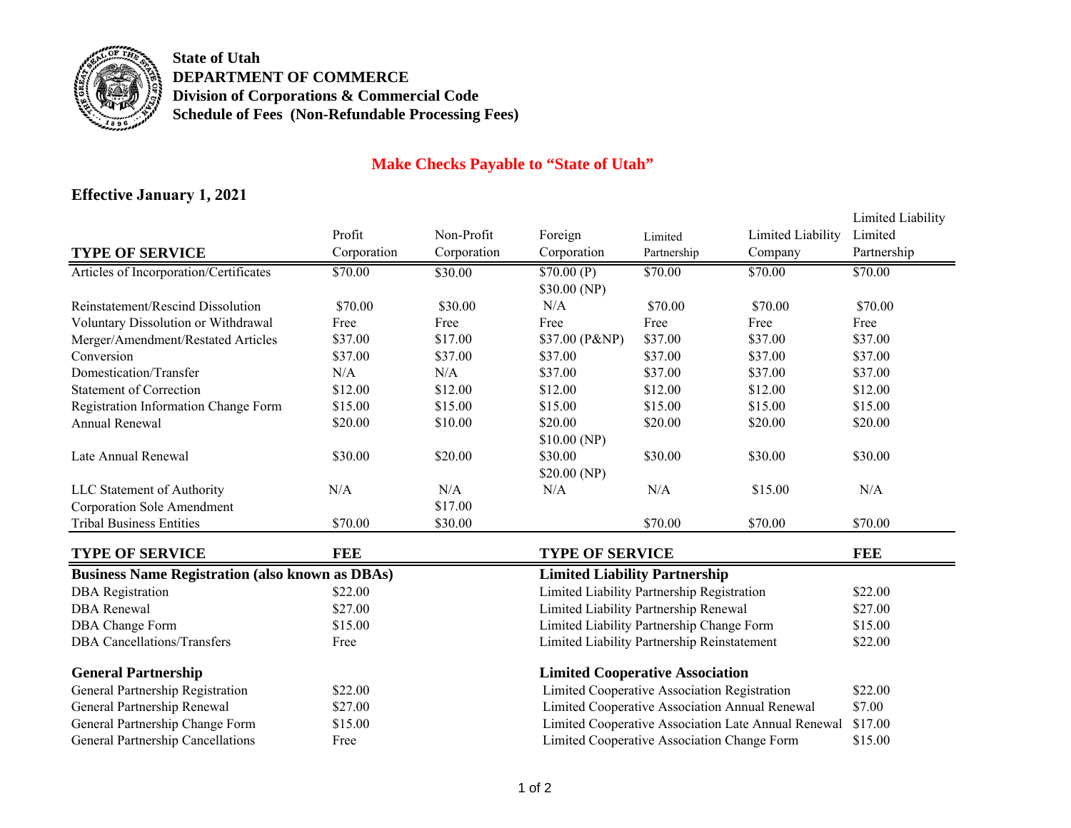

**State of UtahDEPARTMENT OF COMMERCEDivision of Corporations & Commercial Code Schedule of Fees (Non-Refundable Processing Fees)**

## **Make Checks Payable to "State of Utah"**

## **Effective January <sup>1</sup>, 202<sup>1</sup>**

|                                                        |                                        |             |                                                        |             |                   | Limited Liability |
|--------------------------------------------------------|----------------------------------------|-------------|--------------------------------------------------------|-------------|-------------------|-------------------|
|                                                        | Profit                                 | Non-Profit  | Foreign                                                | Limited     | Limited Liability | Limited           |
| <b>TYPE OF SERVICE</b>                                 | Corporation                            | Corporation | Corporation                                            | Partnership | Company           | Partnership       |
| Articles of Incorporation/Certificates                 | \$70.00                                | \$30.00     | \$70.00(P)                                             | \$70.00     | \$70.00           | \$70.00           |
|                                                        |                                        |             | \$30.00 (NP)                                           |             |                   |                   |
| <b>Reinstatement/Rescind Dissolution</b>               | \$70.00                                | \$30.00     | N/A                                                    | \$70.00     | \$70.00           | \$70.00           |
| Voluntary Dissolution or Withdrawal                    | Free                                   | Free        | Free                                                   | Free        | Free              | Free              |
| Merger/Amendment/Restated Articles                     | \$37.00                                | \$17.00     | \$37.00 (P&NP)                                         | \$37.00     | \$37.00           | \$37.00           |
| Conversion                                             | \$37.00                                | \$37.00     | \$37.00                                                | \$37.00     | \$37.00           | \$37.00           |
| Domestication/Transfer                                 | N/A                                    | N/A         | \$37.00                                                | \$37.00     | \$37.00           | \$37.00           |
| <b>Statement of Correction</b>                         | \$12.00                                | \$12.00     | \$12.00                                                | \$12.00     | \$12.00           | \$12.00           |
| Registration Information Change Form                   | \$15.00                                | \$15.00     | \$15.00                                                | \$15.00     | \$15.00           | \$15.00           |
| Annual Renewal                                         | \$20.00                                | \$10.00     | \$20.00                                                | \$20.00     | \$20.00           | \$20.00           |
|                                                        |                                        |             | \$10.00(NP)                                            |             |                   |                   |
| Late Annual Renewal                                    | \$30.00                                | \$20.00     | \$30.00                                                | \$30.00     | \$30.00           | \$30.00           |
|                                                        |                                        |             | \$20.00(NP)                                            |             |                   |                   |
| LLC Statement of Authority                             | N/A                                    | N/A         | N/A                                                    | N/A         | \$15.00           | N/A               |
| <b>Corporation Sole Amendment</b>                      |                                        | \$17.00     |                                                        |             |                   |                   |
| <b>Tribal Business Entities</b>                        | \$70.00                                | \$30.00     |                                                        | \$70.00     | \$70.00           | \$70.00           |
| <b>TYPE OF SERVICE</b>                                 | <b>FEE</b>                             |             | <b>TYPE OF SERVICE</b>                                 |             |                   | <b>FEE</b>        |
| <b>Business Name Registration (also known as DBAs)</b> | <b>Limited Liability Partnership</b>   |             |                                                        |             |                   |                   |
| <b>DBA</b> Registration                                | \$22.00                                |             | Limited Liability Partnership Registration             |             |                   | \$22.00           |
| <b>DBA</b> Renewal                                     | \$27.00                                |             | Limited Liability Partnership Renewal                  |             | \$27.00           |                   |
| DBA Change Form                                        | \$15.00                                |             | Limited Liability Partnership Change Form              |             | \$15.00           |                   |
| <b>DBA</b> Cancellations/Transfers                     | Free                                   |             | Limited Liability Partnership Reinstatement            |             |                   | \$22.00           |
|                                                        |                                        |             |                                                        |             |                   |                   |
| <b>General Partnership</b>                             | <b>Limited Cooperative Association</b> |             |                                                        |             |                   |                   |
| General Partnership Registration                       | \$22.00                                |             | Limited Cooperative Association Registration           |             |                   | \$22.00           |
| General Partnership Renewal                            | \$27.00                                |             | Limited Cooperative Association Annual Renewal         |             | \$7.00            |                   |
| General Partnership Change Form                        | \$15.00                                |             | Limited Cooperative Association Late Annual Renewal    |             | \$17.00           |                   |
| General Partnership Cancellations                      | Free                                   |             | Limited Cooperative Association Change Form<br>\$15.00 |             |                   |                   |